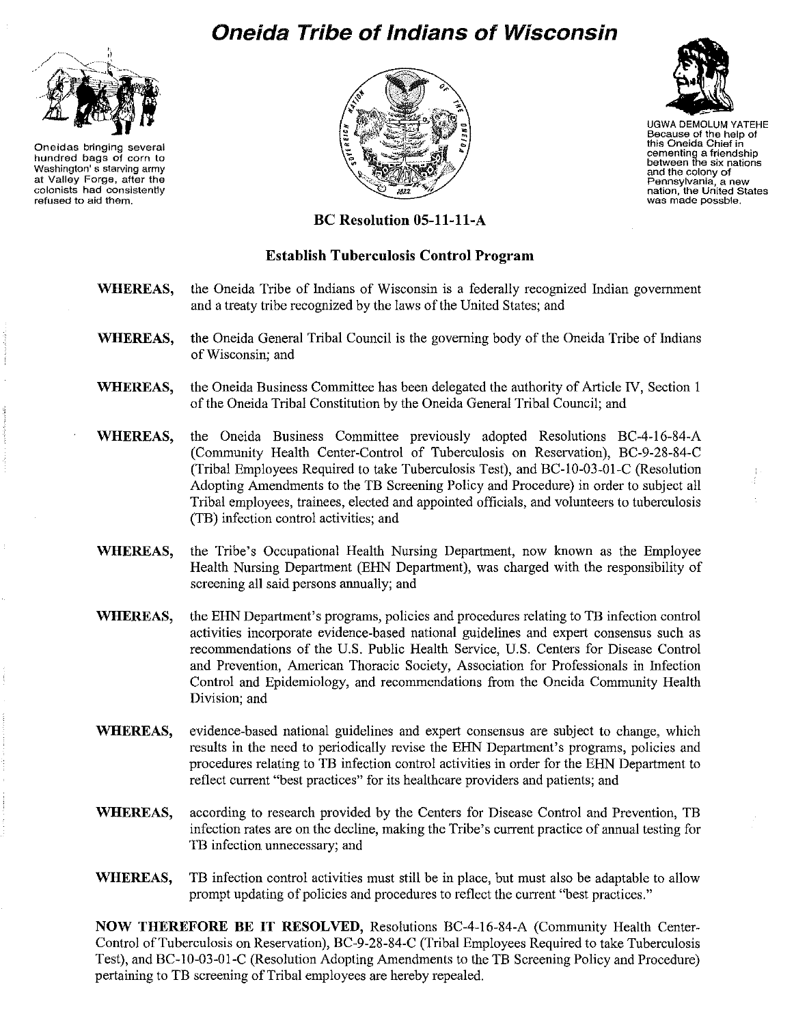## **Oneida Tribe of Indians of Wisconsin**



**Oneidas bringing several hundred bags of corn to Washington's starving army at Valley Forge, after the colonists had consistently refused to aid them.** 





UGWA DEMOLUM YATEHE **Because of the help of this Oneida Chief in cementing a friendship between the six nations and the colony of Pennsylvania, a new nation, the United States was made possble,** 

## **BC Resolution OS-ll-ll-A**

## **Establish Tuberculosis Control Program**

- **WHEREAS,** the Oneida Tribe of Indians of Wisconsin is a federally recognized Indian government and a treaty tribe recognized by the laws of the United States; and
- **WHEREAS,** the Oneida General Tribal Council is the governing body of the Oneida Tribe of Indians of Wisconsin; and
- **WHEREAS,** the Oneida Business Committee has been delegated the authority of Article IV, Section I of the Oneida Tribal Constitution by the Oneida General Tribal Council; and
- **WHEREAS,** the Oneida Business Committee previously adopted Resolutions BC-4-16-84-A (Community Health Center-Control of Tuberculosis on Reservation), BC-9-28-84-C (Tribal Employees Required to take Tuberculosis Test), and BC-1O-03-01-C (Resolution Adopting Amendments to the TB Screening Policy and Procedure) in order to subject all Tribal employees, trainees, elected and appointed officials, and volunteers to tuberculosis (TB) infection control activities; and
- **WHEREAS,** the Tribe's Occupational Health Nursing Department, now known as the Employee Health Nursing Department (ERN Department), was charged with the responsibility of screening all said persons annually; and
- WHEREAS, the EHN Department's programs, policies and procedures relating to TB infection control activities incorporate evidence-based national guidelines and expert consensus such as recommendations of the U.S. Public Health Service, U.S. Centers for Disease Control and Prevention, American Thoracic Society, Association for Professionals in Infection Control and Epidemiology, and recommendations from the Oneida Community Health Division; and
- **WHEREAS,** evidence-based national guidelines and expert consensus are subject to change, which results in the need to periodically revise the ERN Department's programs, policies and procedures relating to TB infection control activities in order for the ERN Department to reflect current "best practices" for its healthcare providers and patients; and
- **WHEREAS,** according to research provided by the Centers for Disease Control and Prevention, TB infection rates are on the decline, making the Tribe's current practice of annual testing for TB infection unnecessary; and
- **WHEREAS,** TB infection control activities must still be in place, but must also be adaptable to allow prompt updating of policies and procedures to reflect the current "best practices."

**NOW THEREFORE BE IT RESOLVED,** Resolutions BC-4-16-84-A (Community Health Center-Control of Tuberculosis on Reservation), BC-9-28-84-C (Tribal Employees Required to take Tuberculosis Test), and BC-IO-03-01-C (Resolution Adopting Amendments to the TB Screening Policy and Procedure) pertaining to TB screening of Tribal employees are hereby repealed.